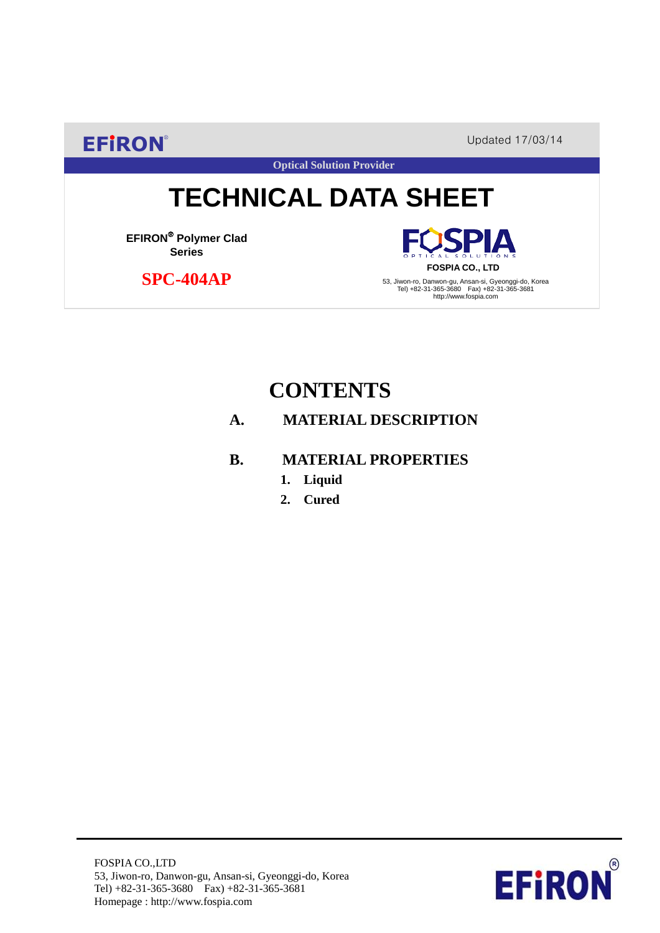**EFIRON®** Updated 17/03/14

**Optical Solution Provider**

# **TECHNICAL DATA SHEET**

**EFIRON**® **Polymer Clad Series**

 **SPC-404AP**

PΙA **FOSPIA CO., LTD**

53, Jiwon-ro, Danwon-gu, Ansan-si, Gyeonggi-do, Korea Tel) +82-31-365-3680 Fax) +82-31-365-3681 http://www.fospia.com

## **CONTENTS**

#### **A. MATERIAL DESCRIPTION**

#### **B. MATERIAL PROPERTIES**

- **1. Liquid**
- **2. Cured**

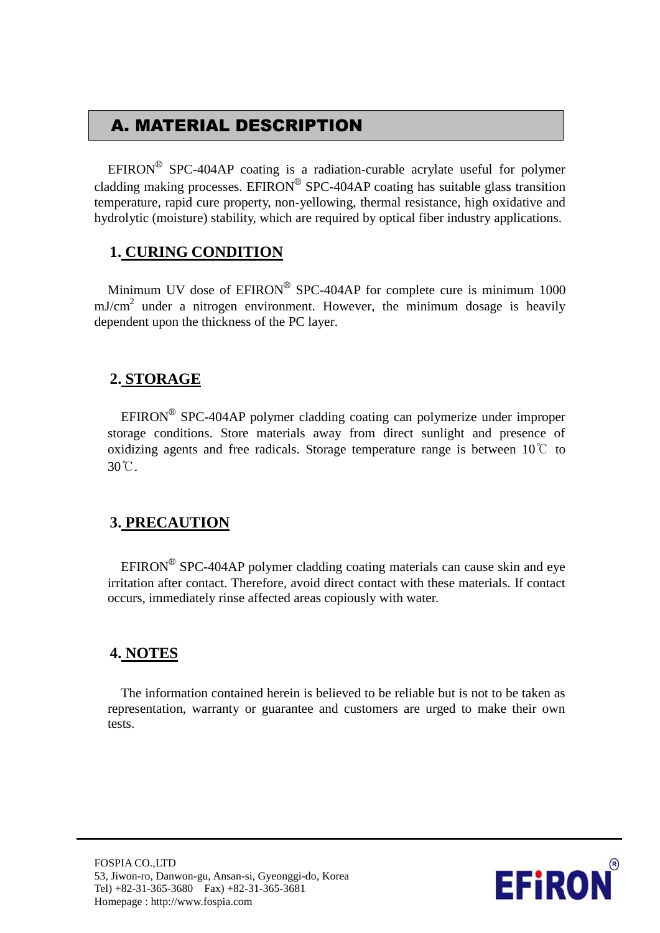## A. MATERIAL DESCRIPTION

EFIRON<sup>®</sup> SPC-404AP coating is a radiation-curable acrylate useful for polymer cladding making processes. EFIRON<sup>®</sup> SPC-404AP coating has suitable glass transition temperature, rapid cure property, non-yellowing, thermal resistance, high oxidative and hydrolytic (moisture) stability, which are required by optical fiber industry applications.

#### **1. CURING CONDITION**

Minimum UV dose of  $EPIRON^{\circledR}$  SPC-404AP for complete cure is minimum 1000  $mJ/cm<sup>2</sup>$  under a nitrogen environment. However, the minimum dosage is heavily dependent upon the thickness of the PC layer.

#### **2. STORAGE**

EFIRON<sup>®</sup> SPC-404AP polymer cladding coating can polymerize under improper storage conditions. Store materials away from direct sunlight and presence of oxidizing agents and free radicals. Storage temperature range is between  $10^{\circ}$  to 30℃.

#### **3. PRECAUTION**

 $EFINON^{\circledR}$  SPC-404AP polymer cladding coating materials can cause skin and eye irritation after contact. Therefore, avoid direct contact with these materials. If contact occurs, immediately rinse affected areas copiously with water.

#### **4. NOTES**

The information contained herein is believed to be reliable but is not to be taken as representation, warranty or guarantee and customers are urged to make their own tests.